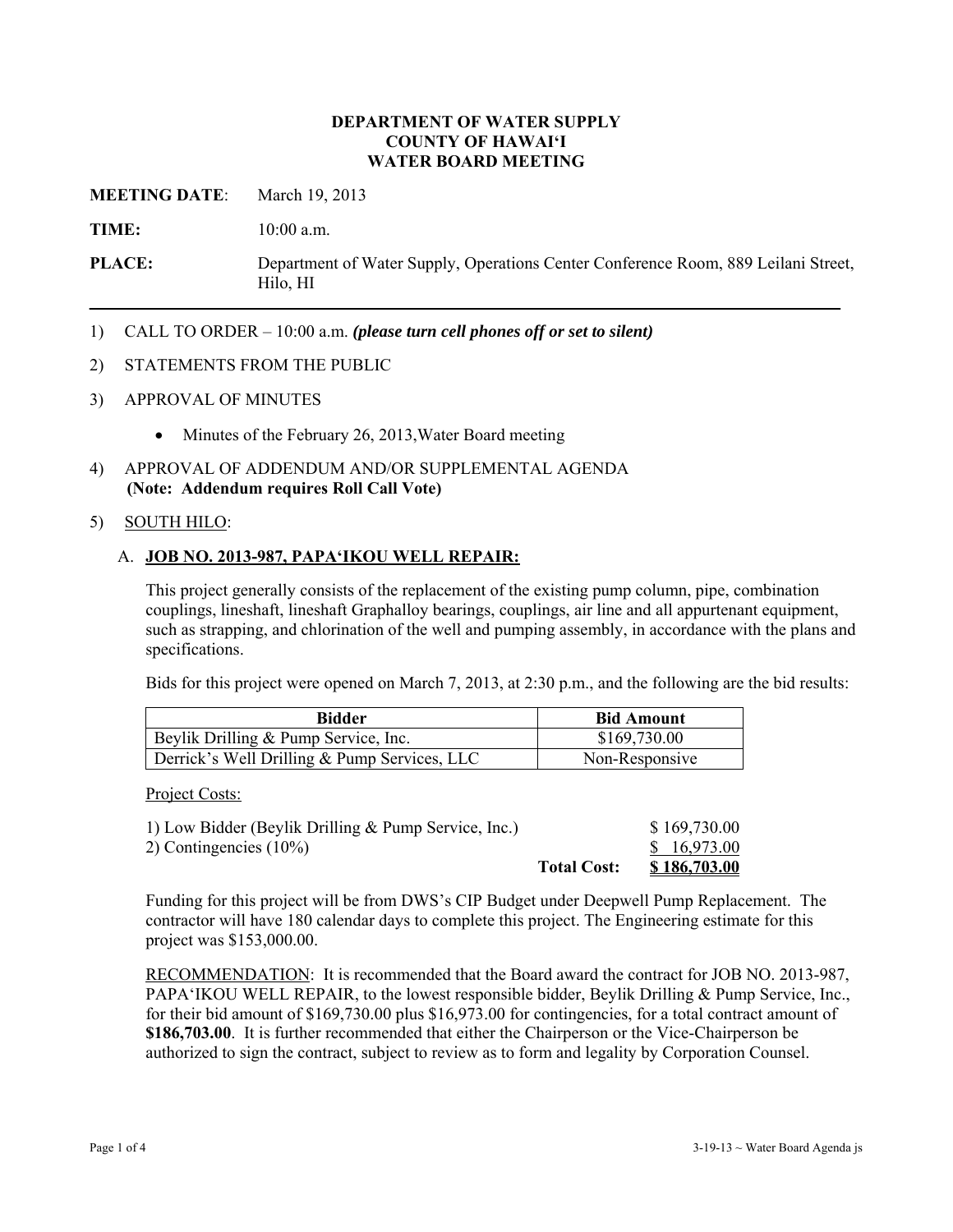#### **DEPARTMENT OF WATER SUPPLY COUNTY OF HAWAI'I WATER BOARD MEETING**

**MEETING DATE**: March 19, 2013

**TIME:** 10:00 a.m.

**PLACE:** Department of Water Supply, Operations Center Conference Room, 889 Leilani Street, Hilo, HI

1) CALL TO ORDER – 10:00 a.m. *(please turn cell phones off or set to silent)*

#### 2) STATEMENTS FROM THE PUBLIC

- 3) APPROVAL OF MINUTES
	- Minutes of the February 26, 2013, Water Board meeting
- 4) APPROVAL OF ADDENDUM AND/OR SUPPLEMENTAL AGENDA **(Note: Addendum requires Roll Call Vote)**

### 5) SOUTH HILO:

### A. **JOB NO. 2013-987, PAPA'IKOU WELL REPAIR:**

This project generally consists of the replacement of the existing pump column, pipe, combination couplings, lineshaft, lineshaft Graphalloy bearings, couplings, air line and all appurtenant equipment, such as strapping, and chlorination of the well and pumping assembly, in accordance with the plans and specifications.

Bids for this project were opened on March 7, 2013, at 2:30 p.m., and the following are the bid results:

| Bidder                                       | <b>Bid Amount</b> |
|----------------------------------------------|-------------------|
| Beylik Drilling & Pump Service, Inc.         | \$169,730.00      |
| Derrick's Well Drilling & Pump Services, LLC | Non-Responsive    |

Project Costs:

| 1) Low Bidder (Beylik Drilling & Pump Service, Inc.) |                    | \$169,730.00        |
|------------------------------------------------------|--------------------|---------------------|
| 2) Contingencies $(10\%)$                            |                    | \$16,973.00         |
|                                                      | <b>Total Cost:</b> | <u>\$186,703.00</u> |

Funding for this project will be from DWS's CIP Budget under Deepwell Pump Replacement. The contractor will have 180 calendar days to complete this project. The Engineering estimate for this project was \$153,000.00.

RECOMMENDATION: It is recommended that the Board award the contract for JOB NO. 2013-987, PAPA'IKOU WELL REPAIR, to the lowest responsible bidder, Beylik Drilling & Pump Service, Inc., for their bid amount of \$169,730.00 plus \$16,973.00 for contingencies, for a total contract amount of **\$186,703.00**. It is further recommended that either the Chairperson or the Vice-Chairperson be authorized to sign the contract, subject to review as to form and legality by Corporation Counsel.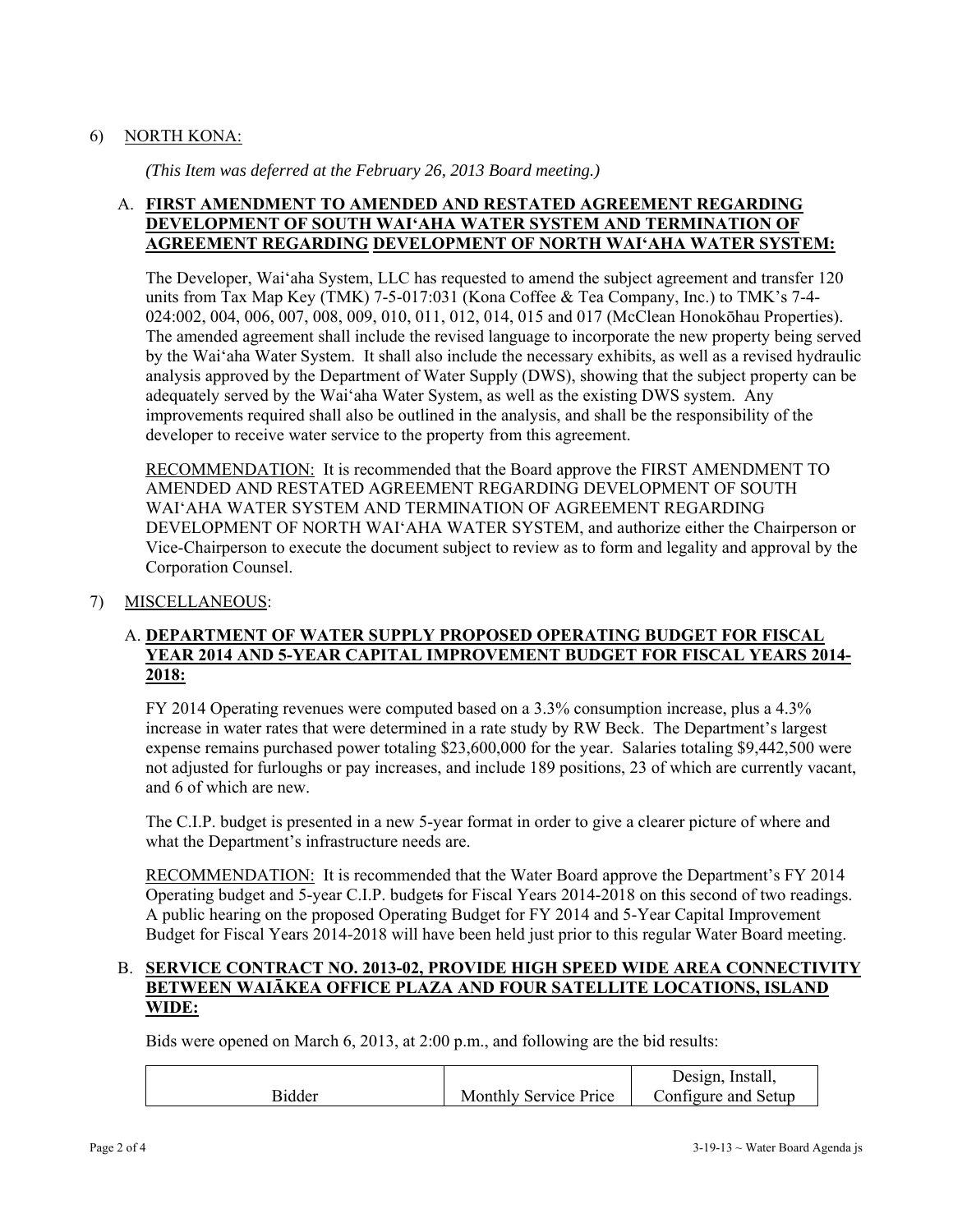## 6) NORTH KONA:

*(This Item was deferred at the February 26, 2013 Board meeting.)* 

# A. **FIRST AMENDMENT TO AMENDED AND RESTATED AGREEMENT REGARDING DEVELOPMENT OF SOUTH WAI'AHA WATER SYSTEM AND TERMINATION OF AGREEMENT REGARDING DEVELOPMENT OF NORTH WAI'AHA WATER SYSTEM:**

The Developer, Wai'aha System, LLC has requested to amend the subject agreement and transfer 120 units from Tax Map Key (TMK) 7-5-017:031 (Kona Coffee & Tea Company, Inc.) to TMK's 7-4- 024:002, 004, 006, 007, 008, 009, 010, 011, 012, 014, 015 and 017 (McClean Honokōhau Properties). The amended agreement shall include the revised language to incorporate the new property being served by the Wai'aha Water System. It shall also include the necessary exhibits, as well as a revised hydraulic analysis approved by the Department of Water Supply (DWS), showing that the subject property can be adequately served by the Wai'aha Water System, as well as the existing DWS system. Any improvements required shall also be outlined in the analysis, and shall be the responsibility of the developer to receive water service to the property from this agreement.

RECOMMENDATION: It is recommended that the Board approve the FIRST AMENDMENT TO AMENDED AND RESTATED AGREEMENT REGARDING DEVELOPMENT OF SOUTH WAI'AHA WATER SYSTEM AND TERMINATION OF AGREEMENT REGARDING DEVELOPMENT OF NORTH WAI'AHA WATER SYSTEM, and authorize either the Chairperson or Vice-Chairperson to execute the document subject to review as to form and legality and approval by the Corporation Counsel.

## 7) MISCELLANEOUS:

## A. **DEPARTMENT OF WATER SUPPLY PROPOSED OPERATING BUDGET FOR FISCAL YEAR 2014 AND 5-YEAR CAPITAL IMPROVEMENT BUDGET FOR FISCAL YEARS 2014- 2018:**

FY 2014 Operating revenues were computed based on a 3.3% consumption increase, plus a 4.3% increase in water rates that were determined in a rate study by RW Beck. The Department's largest expense remains purchased power totaling \$23,600,000 for the year. Salaries totaling \$9,442,500 were not adjusted for furloughs or pay increases, and include 189 positions, 23 of which are currently vacant, and 6 of which are new.

The C.I.P. budget is presented in a new 5-year format in order to give a clearer picture of where and what the Department's infrastructure needs are.

RECOMMENDATION: It is recommended that the Water Board approve the Department's FY 2014 Operating budget and 5-year C.I.P. budgets for Fiscal Years 2014-2018 on this second of two readings. A public hearing on the proposed Operating Budget for FY 2014 and 5-Year Capital Improvement Budget for Fiscal Years 2014-2018 will have been held just prior to this regular Water Board meeting.

## B. **SERVICE CONTRACT NO. 2013-02, PROVIDE HIGH SPEED WIDE AREA CONNECTIVITY BETWEEN WAIĀKEA OFFICE PLAZA AND FOUR SATELLITE LOCATIONS, ISLAND WIDE:**

Bids were opened on March 6, 2013, at 2:00 p.m., and following are the bid results:

|               |                              | Design, Install,    |
|---------------|------------------------------|---------------------|
| <b>Bidder</b> | <b>Monthly Service Price</b> | Configure and Setup |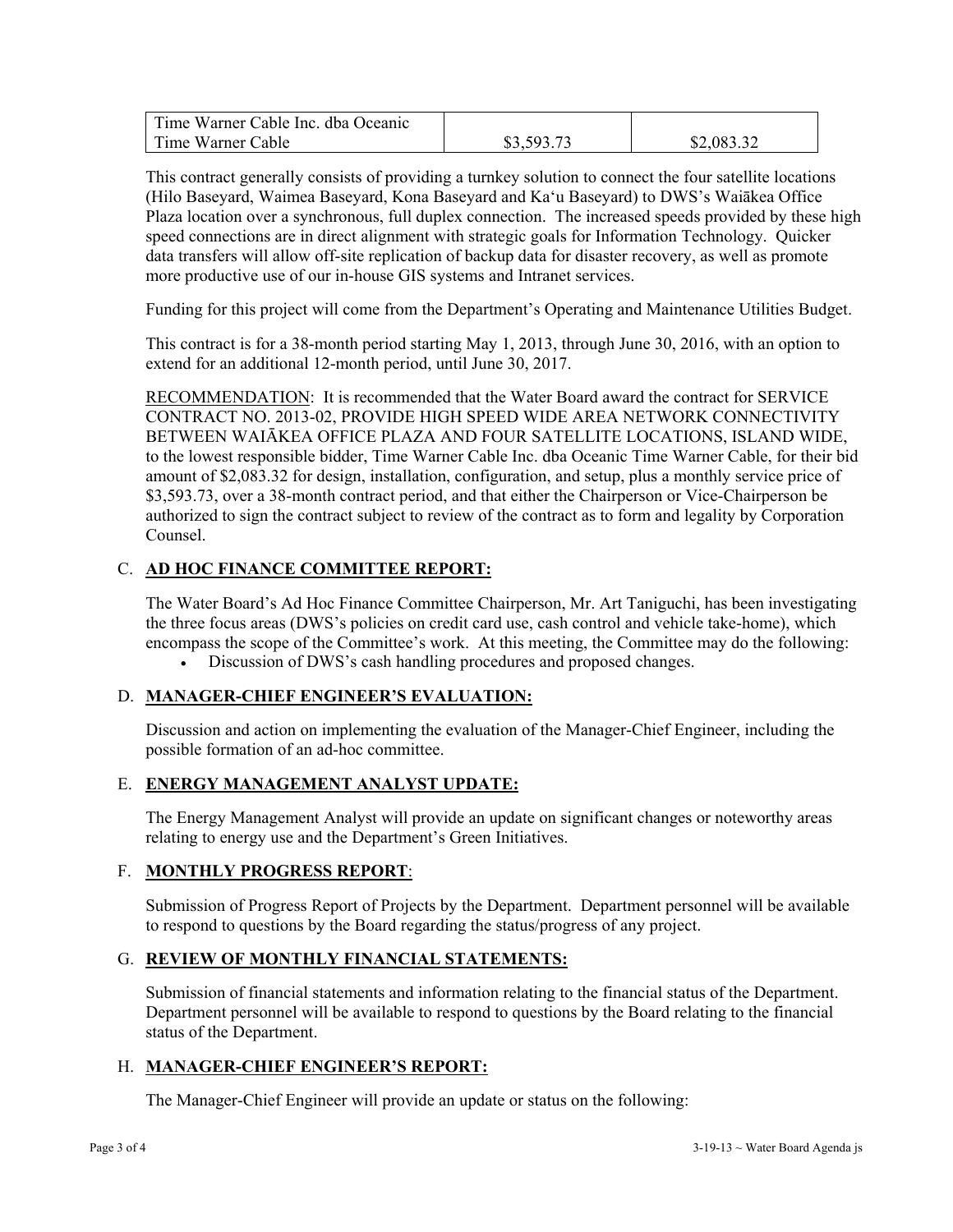| Time Warner Cable Inc. dba Oceanic |            |            |
|------------------------------------|------------|------------|
| Time Warner Cable                  | \$3,593.73 | \$2,083.32 |

This contract generally consists of providing a turnkey solution to connect the four satellite locations (Hilo Baseyard, Waimea Baseyard, Kona Baseyard and Ka'u Baseyard) to DWS's Waiākea Office Plaza location over a synchronous, full duplex connection. The increased speeds provided by these high speed connections are in direct alignment with strategic goals for Information Technology. Quicker data transfers will allow off-site replication of backup data for disaster recovery, as well as promote more productive use of our in-house GIS systems and Intranet services.

Funding for this project will come from the Department's Operating and Maintenance Utilities Budget.

This contract is for a 38-month period starting May 1, 2013, through June 30, 2016, with an option to extend for an additional 12-month period, until June 30, 2017.

RECOMMENDATION: It is recommended that the Water Board award the contract for SERVICE CONTRACT NO. 2013-02, PROVIDE HIGH SPEED WIDE AREA NETWORK CONNECTIVITY BETWEEN WAIĀKEA OFFICE PLAZA AND FOUR SATELLITE LOCATIONS, ISLAND WIDE, to the lowest responsible bidder, Time Warner Cable Inc. dba Oceanic Time Warner Cable, for their bid amount of \$2,083.32 for design, installation, configuration, and setup, plus a monthly service price of \$3,593.73, over a 38-month contract period, and that either the Chairperson or Vice-Chairperson be authorized to sign the contract subject to review of the contract as to form and legality by Corporation Counsel.

# C. **AD HOC FINANCE COMMITTEE REPORT:**

The Water Board's Ad Hoc Finance Committee Chairperson, Mr. Art Taniguchi, has been investigating the three focus areas (DWS's policies on credit card use, cash control and vehicle take-home), which encompass the scope of the Committee's work. At this meeting, the Committee may do the following:

Discussion of DWS's cash handling procedures and proposed changes.

### D. **MANAGER-CHIEF ENGINEER'S EVALUATION:**

Discussion and action on implementing the evaluation of the Manager-Chief Engineer, including the possible formation of an ad-hoc committee.

### E. **ENERGY MANAGEMENT ANALYST UPDATE:**

The Energy Management Analyst will provide an update on significant changes or noteworthy areas relating to energy use and the Department's Green Initiatives.

### F. **MONTHLY PROGRESS REPORT**:

Submission of Progress Report of Projects by the Department. Department personnel will be available to respond to questions by the Board regarding the status/progress of any project.

## G. **REVIEW OF MONTHLY FINANCIAL STATEMENTS:**

Submission of financial statements and information relating to the financial status of the Department. Department personnel will be available to respond to questions by the Board relating to the financial status of the Department.

### H. **MANAGER-CHIEF ENGINEER'S REPORT:**

The Manager-Chief Engineer will provide an update or status on the following: